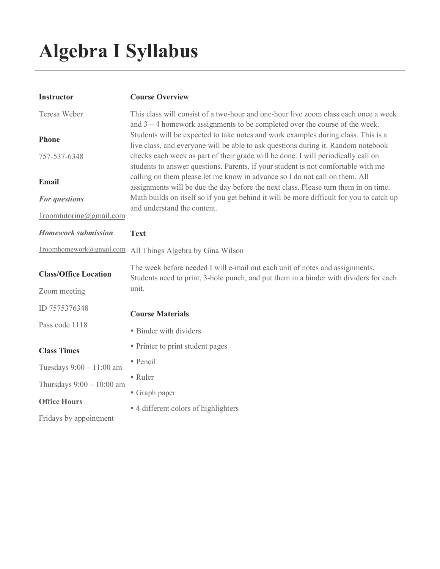# Algebra I Syllabus

| <b>Instructor</b>            | <b>Course Overview</b>                                                                                                                                                         |  |  |  |
|------------------------------|--------------------------------------------------------------------------------------------------------------------------------------------------------------------------------|--|--|--|
| Teresa Weber                 | This class will consist of a two-hour and one-hour live zoom class each once a week<br>and $3 - 4$ homework assignments to be completed over the course of the week.           |  |  |  |
| <b>Phone</b>                 | Students will be expected to take notes and work examples during class. This is a<br>live class, and everyone will be able to ask questions during it. Random notebook         |  |  |  |
| 757-537-6348                 | checks each week as part of their grade will be done. I will periodically call on<br>students to answer questions. Parents, if your student is not comfortable with me         |  |  |  |
| Email                        | calling on them please let me know in advance so I do not call on them. All<br>assignments will be due the day before the next class. Please turn them in on time.             |  |  |  |
| For questions                | Math builds on itself so if you get behind it will be more difficult for you to catch up<br>and understand the content.                                                        |  |  |  |
| $1$ roomtutoring@gmail.com   |                                                                                                                                                                                |  |  |  |
| <b>Homework submission</b>   | <b>Text</b>                                                                                                                                                                    |  |  |  |
| 1roomhomework@gmail.com      | All Things Algebra by Gina Wilson                                                                                                                                              |  |  |  |
| <b>Class/Office Location</b> | The week before needed I will e-mail out each unit of notes and assignments.<br>Students need to print, 3-hole punch, and put them in a binder with dividers for each<br>unit. |  |  |  |
| Zoom meeting                 |                                                                                                                                                                                |  |  |  |
| ID 7575376348                | <b>Course Materials</b>                                                                                                                                                        |  |  |  |
| Pass code 1118               | • Binder with dividers                                                                                                                                                         |  |  |  |
| <b>Class Times</b>           | • Printer to print student pages                                                                                                                                               |  |  |  |
| Tuesdays 9:00 - 11:00 am     | · Pencil                                                                                                                                                                       |  |  |  |
| Thursdays $9:00 - 10:00$ am  | • Ruler                                                                                                                                                                        |  |  |  |
| <b>Office Hours</b>          | • Graph paper                                                                                                                                                                  |  |  |  |
|                              | • 4 different colors of highlighters                                                                                                                                           |  |  |  |
| Fridays by appointment       |                                                                                                                                                                                |  |  |  |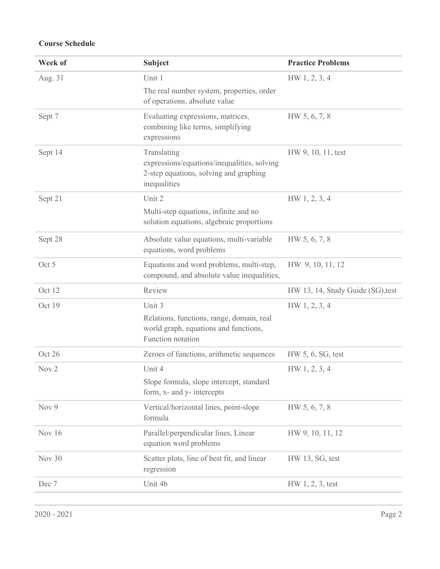## Course Schedule

| Unit 1<br>Aug. 31<br>HW 1, 2, 3, 4<br>The real number system, properties, order<br>of operations, absolute value<br>Evaluating expressions, matrices,<br>HW 5, 6, 7, 8<br>Sept 7<br>combining like terms, simplifying<br>expressions<br>Sept 14<br>Translating<br>HW 9, 10, 11, test<br>expressions/equations/inequalities, solving<br>2-step equations, solving and graphing |  |
|-------------------------------------------------------------------------------------------------------------------------------------------------------------------------------------------------------------------------------------------------------------------------------------------------------------------------------------------------------------------------------|--|
|                                                                                                                                                                                                                                                                                                                                                                               |  |
|                                                                                                                                                                                                                                                                                                                                                                               |  |
|                                                                                                                                                                                                                                                                                                                                                                               |  |
| inequalities                                                                                                                                                                                                                                                                                                                                                                  |  |
| Unit 2<br>HW 1, 2, 3, 4<br>Sept 21                                                                                                                                                                                                                                                                                                                                            |  |
| Multi-step equations, infinite and no<br>solution equations, algebraic proportions                                                                                                                                                                                                                                                                                            |  |
| HW 5, 6, 7, 8<br>Sept 28<br>Absolute value equations, multi-variable<br>equations, word problems                                                                                                                                                                                                                                                                              |  |
| Oct 5<br>Equations and word problems, multi-step,<br>HW 9, 10, 11, 12<br>compound, and absolute value inequalities,                                                                                                                                                                                                                                                           |  |
| Review<br>Oct 12<br>HW 13, 14, Study Guide (SG), test                                                                                                                                                                                                                                                                                                                         |  |
| Unit 3<br>Oct 19<br>HW 1, 2, 3, 4                                                                                                                                                                                                                                                                                                                                             |  |
| Relations, functions, range, domain, real<br>world graph, equations and functions,<br>Function notation                                                                                                                                                                                                                                                                       |  |
| Oct 26<br>Zeroes of functions, arithmetic sequences<br>HW 5, 6, SG, test                                                                                                                                                                                                                                                                                                      |  |
| Unit 4<br>HW 1, 2, 3, 4<br>Nov <sub>2</sub>                                                                                                                                                                                                                                                                                                                                   |  |
| Slope formula, slope intercept, standard<br>form, x- and y- intercepts                                                                                                                                                                                                                                                                                                        |  |
| Nov 9<br>Vertical/horizontal lines, point-slope<br>HW 5, 6, 7, 8<br>formula                                                                                                                                                                                                                                                                                                   |  |
| Nov 16<br>Parallel/perpendicular lines, Linear<br>HW 9, 10, 11, 12<br>equation word problems                                                                                                                                                                                                                                                                                  |  |
| Nov 30<br>Scatter plots, line of best fit, and linear<br>HW 13, SG, test<br>regression                                                                                                                                                                                                                                                                                        |  |
| Unit 4b<br>Dec 7<br>HW 1, 2, 3, test                                                                                                                                                                                                                                                                                                                                          |  |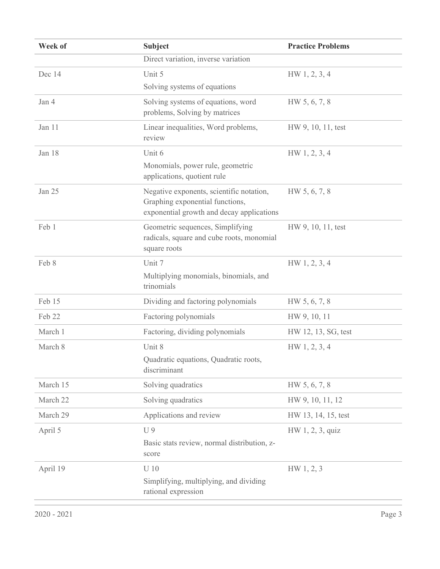| Week of  | <b>Subject</b>                                                                                                           | <b>Practice Problems</b> |
|----------|--------------------------------------------------------------------------------------------------------------------------|--------------------------|
|          | Direct variation, inverse variation                                                                                      |                          |
| Dec 14   | Unit 5                                                                                                                   | HW 1, 2, 3, 4            |
|          | Solving systems of equations                                                                                             |                          |
| Jan 4    | Solving systems of equations, word<br>problems, Solving by matrices                                                      | HW 5, 6, 7, 8            |
| Jan 11   | Linear inequalities, Word problems,<br>review                                                                            | HW 9, 10, 11, test       |
| Jan 18   | Unit 6                                                                                                                   | HW 1, 2, 3, 4            |
|          | Monomials, power rule, geometric<br>applications, quotient rule                                                          |                          |
| Jan 25   | Negative exponents, scientific notation,<br>Graphing exponential functions,<br>exponential growth and decay applications | HW 5, 6, 7, 8            |
| Feb 1    | Geometric sequences, Simplifying<br>radicals, square and cube roots, monomial<br>square roots                            | HW 9, 10, 11, test       |
| Feb 8    | Unit 7                                                                                                                   | HW 1, 2, 3, 4            |
|          | Multiplying monomials, binomials, and<br>trinomials                                                                      |                          |
| Feb 15   | Dividing and factoring polynomials                                                                                       | HW 5, 6, 7, 8            |
| Feb 22   | Factoring polynomials                                                                                                    | HW 9, 10, 11             |
| March 1  | Factoring, dividing polynomials                                                                                          | HW 12, 13, SG, test      |
| March 8  | Unit 8                                                                                                                   | HW 1, 2, 3, 4            |
|          | Quadratic equations, Quadratic roots,<br>discriminant                                                                    |                          |
| March 15 | Solving quadratics                                                                                                       | HW 5, 6, 7, 8            |
| March 22 | Solving quadratics                                                                                                       | HW 9, 10, 11, 12         |
| March 29 | Applications and review                                                                                                  | HW 13, 14, 15, test      |
| April 5  | U <sub>9</sub>                                                                                                           | HW 1, 2, 3, quiz         |
|          | Basic stats review, normal distribution, z-<br>score                                                                     |                          |
| April 19 | U <sub>10</sub>                                                                                                          | HW 1, 2, 3               |
|          | Simplifying, multiplying, and dividing<br>rational expression                                                            |                          |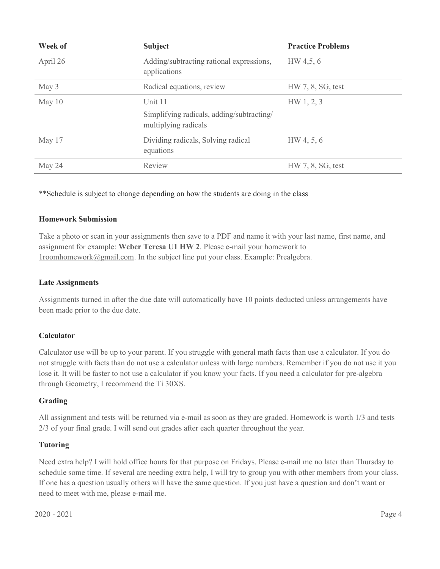| Week of  | <b>Subject</b>                                                    | <b>Practice Problems</b> |
|----------|-------------------------------------------------------------------|--------------------------|
| April 26 | Adding/subtracting rational expressions,<br>applications          | HW 4,5, 6                |
| May 3    | Radical equations, review                                         | HW 7, 8, SG, test        |
| May 10   | Unit 11                                                           | HW 1, 2, 3               |
|          | Simplifying radicals, adding/subtracting/<br>multiplying radicals |                          |
| May 17   | Dividing radicals, Solving radical<br>equations                   | HW 4, 5, 6               |
| May 24   | Review                                                            | HW 7, 8, SG, test        |

\*\*Schedule is subject to change depending on how the students are doing in the class

### Homework Submission

Take a photo or scan in your assignments then save to a PDF and name it with your last name, first name, and assignment for example: Weber Teresa U1 HW 2. Please e-mail your homework to 1roomhomework@gmail.com. In the subject line put your class. Example: Prealgebra.

## Late Assignments

Assignments turned in after the due date will automatically have 10 points deducted unless arrangements have been made prior to the due date.

## Calculator

Calculator use will be up to your parent. If you struggle with general math facts than use a calculator. If you do not struggle with facts than do not use a calculator unless with large numbers. Remember if you do not use it you lose it. It will be faster to not use a calculator if you know your facts. If you need a calculator for pre-algebra through Geometry, I recommend the Ti 30XS.

### Grading

All assignment and tests will be returned via e-mail as soon as they are graded. Homework is worth 1/3 and tests 2/3 of your final grade. I will send out grades after each quarter throughout the year.

### Tutoring

Need extra help? I will hold office hours for that purpose on Fridays. Please e-mail me no later than Thursday to schedule some time. If several are needing extra help, I will try to group you with other members from your class. If one has a question usually others will have the same question. If you just have a question and don't want or need to meet with me, please e-mail me.